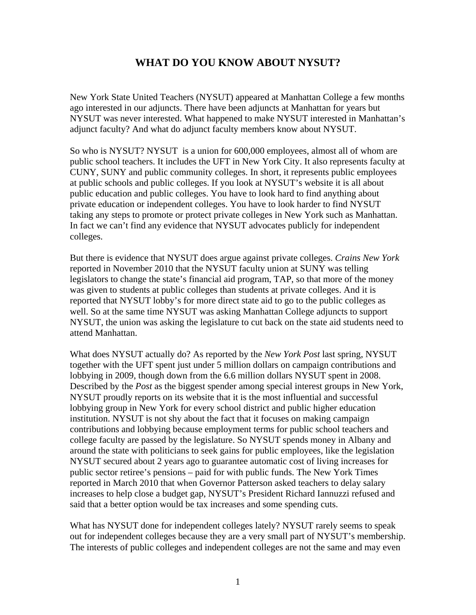## **WHAT DO YOU KNOW ABOUT NYSUT?**

New York State United Teachers (NYSUT) appeared at Manhattan College a few months ago interested in our adjuncts. There have been adjuncts at Manhattan for years but NYSUT was never interested. What happened to make NYSUT interested in Manhattan's adjunct faculty? And what do adjunct faculty members know about NYSUT.

So who is NYSUT? NYSUT is a union for 600,000 employees, almost all of whom are public school teachers. It includes the UFT in New York City. It also represents faculty at CUNY, SUNY and public community colleges. In short, it represents public employees at public schools and public colleges. If you look at NYSUT's website it is all about public education and public colleges. You have to look hard to find anything about private education or independent colleges. You have to look harder to find NYSUT taking any steps to promote or protect private colleges in New York such as Manhattan. In fact we can't find any evidence that NYSUT advocates publicly for independent colleges.

But there is evidence that NYSUT does argue against private colleges. *Crains New York* reported in November 2010 that the NYSUT faculty union at SUNY was telling legislators to change the state's financial aid program, TAP, so that more of the money was given to students at public colleges than students at private colleges. And it is reported that NYSUT lobby's for more direct state aid to go to the public colleges as well. So at the same time NYSUT was asking Manhattan College adjuncts to support NYSUT, the union was asking the legislature to cut back on the state aid students need to attend Manhattan.

What does NYSUT actually do? As reported by the *New York Post* last spring, NYSUT together with the UFT spent just under 5 million dollars on campaign contributions and lobbying in 2009, though down from the 6.6 million dollars NYSUT spent in 2008. Described by the *Post* as the biggest spender among special interest groups in New York, NYSUT proudly reports on its website that it is the most influential and successful lobbying group in New York for every school district and public higher education institution. NYSUT is not shy about the fact that it focuses on making campaign contributions and lobbying because employment terms for public school teachers and college faculty are passed by the legislature. So NYSUT spends money in Albany and around the state with politicians to seek gains for public employees, like the legislation NYSUT secured about 2 years ago to guarantee automatic cost of living increases for public sector retiree's pensions – paid for with public funds. The New York Times reported in March 2010 that when Governor Patterson asked teachers to delay salary increases to help close a budget gap, NYSUT's President Richard Iannuzzi refused and said that a better option would be tax increases and some spending cuts.

What has NYSUT done for independent colleges lately? NYSUT rarely seems to speak out for independent colleges because they are a very small part of NYSUT's membership. The interests of public colleges and independent colleges are not the same and may even